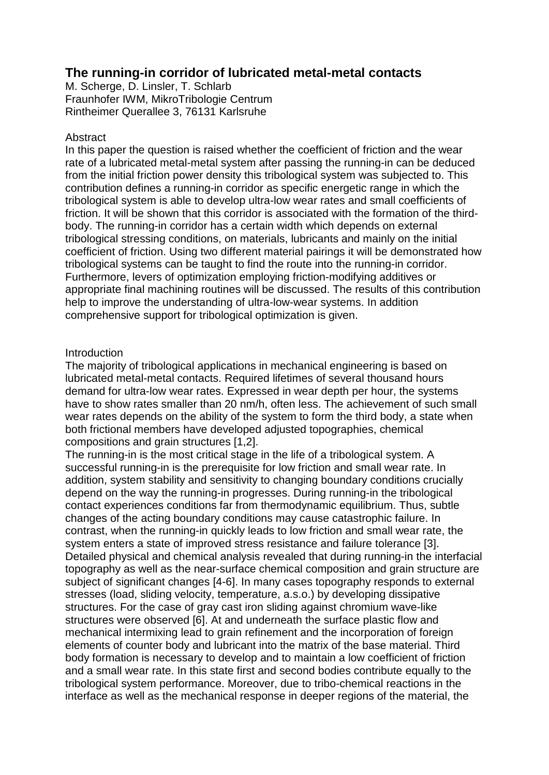# **The running-in corridor of lubricated metal-metal contacts**

M. Scherge, D. Linsler, T. Schlarb Fraunhofer IWM, MikroTribologie Centrum Rintheimer Querallee 3, 76131 Karlsruhe

# Abstract

In this paper the question is raised whether the coefficient of friction and the wear rate of a lubricated metal-metal system after passing the running-in can be deduced from the initial friction power density this tribological system was subjected to. This contribution defines a running-in corridor as specific energetic range in which the tribological system is able to develop ultra-low wear rates and small coefficients of friction. It will be shown that this corridor is associated with the formation of the thirdbody. The running-in corridor has a certain width which depends on external tribological stressing conditions, on materials, lubricants and mainly on the initial coefficient of friction. Using two different material pairings it will be demonstrated how tribological systems can be taught to find the route into the running-in corridor. Furthermore, levers of optimization employing friction-modifying additives or appropriate final machining routines will be discussed. The results of this contribution help to improve the understanding of ultra-low-wear systems. In addition comprehensive support for tribological optimization is given.

# Introduction

The majority of tribological applications in mechanical engineering is based on lubricated metal-metal contacts. Required lifetimes of several thousand hours demand for ultra-low wear rates. Expressed in wear depth per hour, the systems have to show rates smaller than 20 nm/h, often less. The achievement of such small wear rates depends on the ability of the system to form the third body, a state when both frictional members have developed adjusted topographies, chemical compositions and grain structures [1,2].

The running-in is the most critical stage in the life of a tribological system. A successful running-in is the prerequisite for low friction and small wear rate. In addition, system stability and sensitivity to changing boundary conditions crucially depend on the way the running-in progresses. During running-in the tribological contact experiences conditions far from thermodynamic equilibrium. Thus, subtle changes of the acting boundary conditions may cause catastrophic failure. In contrast, when the running-in quickly leads to low friction and small wear rate, the system enters a state of improved stress resistance and failure tolerance [3]. Detailed physical and chemical analysis revealed that during running-in the interfacial topography as well as the near-surface chemical composition and grain structure are subject of significant changes [4-6]. In many cases topography responds to external stresses (load, sliding velocity, temperature, a.s.o.) by developing dissipative structures. For the case of gray cast iron sliding against chromium wave-like structures were observed [6]. At and underneath the surface plastic flow and mechanical intermixing lead to grain refinement and the incorporation of foreign elements of counter body and lubricant into the matrix of the base material. Third body formation is necessary to develop and to maintain a low coefficient of friction and a small wear rate. In this state first and second bodies contribute equally to the tribological system performance. Moreover, due to tribo-chemical reactions in the interface as well as the mechanical response in deeper regions of the material, the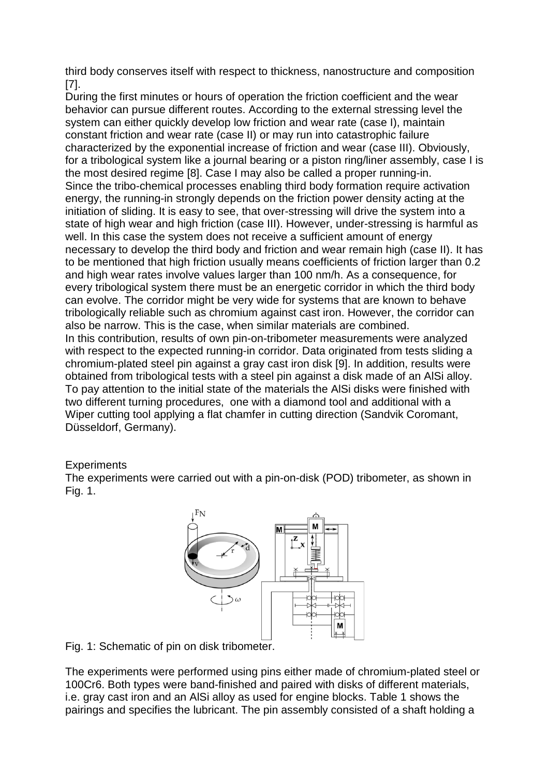third body conserves itself with respect to thickness, nanostructure and composition [7].

During the first minutes or hours of operation the friction coefficient and the wear behavior can pursue different routes. According to the external stressing level the system can either quickly develop low friction and wear rate (case I), maintain constant friction and wear rate (case II) or may run into catastrophic failure characterized by the exponential increase of friction and wear (case III). Obviously, for a tribological system like a journal bearing or a piston ring/liner assembly, case I is the most desired regime [8]. Case I may also be called a proper running-in. Since the tribo-chemical processes enabling third body formation require activation energy, the running-in strongly depends on the friction power density acting at the initiation of sliding. It is easy to see, that over-stressing will drive the system into a state of high wear and high friction (case III). However, under-stressing is harmful as well. In this case the system does not receive a sufficient amount of energy necessary to develop the third body and friction and wear remain high (case II). It has to be mentioned that high friction usually means coefficients of friction larger than 0.2 and high wear rates involve values larger than 100 nm/h. As a consequence, for every tribological system there must be an energetic corridor in which the third body can evolve. The corridor might be very wide for systems that are known to behave tribologically reliable such as chromium against cast iron. However, the corridor can also be narrow. This is the case, when similar materials are combined. In this contribution, results of own pin-on-tribometer measurements were analyzed with respect to the expected running-in corridor. Data originated from tests sliding a chromium-plated steel pin against a gray cast iron disk [9]. In addition, results were obtained from tribological tests with a steel pin against a disk made of an AlSi alloy. To pay attention to the initial state of the materials the AlSi disks were finished with two different turning procedures, one with a diamond tool and additional with a Wiper cutting tool applying a flat chamfer in cutting direction (Sandvik Coromant,

Düsseldorf, Germany).

# **Experiments**

The experiments were carried out with a pin-on-disk (POD) tribometer, as shown in Fig. 1.



Fig. 1: Schematic of pin on disk tribometer.

The experiments were performed using pins either made of chromium-plated steel or 100Cr6. Both types were band-finished and paired with disks of different materials, i.e. gray cast iron and an AlSi alloy as used for engine blocks. Table 1 shows the pairings and specifies the lubricant. The pin assembly consisted of a shaft holding a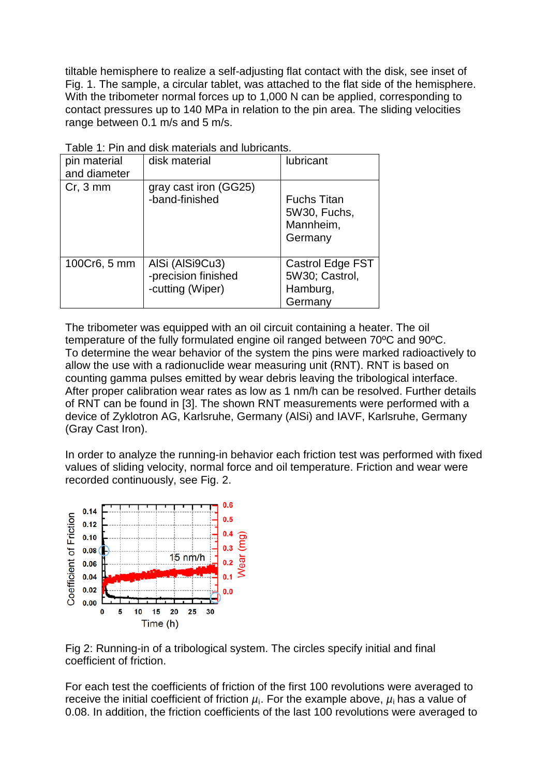tiltable hemisphere to realize a self-adjusting flat contact with the disk, see inset of Fig. 1. The sample, a circular tablet, was attached to the flat side of the hemisphere. With the tribometer normal forces up to 1,000 N can be applied, corresponding to contact pressures up to 140 MPa in relation to the pin area. The sliding velocities range between 0.1 m/s and 5 m/s.

| pin material<br>and diameter | disk material                                              | lubricant                                                  |
|------------------------------|------------------------------------------------------------|------------------------------------------------------------|
| $Cr, 3$ mm                   | gray cast iron (GG25)<br>-band-finished                    | <b>Fuchs Titan</b><br>5W30, Fuchs,<br>Mannheim,<br>Germany |
| 100Cr6, 5 mm                 | AISi (AISi9Cu3)<br>-precision finished<br>-cutting (Wiper) | Castrol Edge FST<br>5W30; Castrol,<br>Hamburg,<br>Germany  |

Table 1: Pin and disk materials and lubricants.

The tribometer was equipped with an oil circuit containing a heater. The oil temperature of the fully formulated engine oil ranged between 70ºC and 90ºC. To determine the wear behavior of the system the pins were marked radioactively to allow the use with a radionuclide wear measuring unit (RNT). RNT is based on counting gamma pulses emitted by wear debris leaving the tribological interface. After proper calibration wear rates as low as 1 nm/h can be resolved. Further details of RNT can be found in [3]. The shown RNT measurements were performed with a device of Zyklotron AG, Karlsruhe, Germany (AlSi) and IAVF, Karlsruhe, Germany (Gray Cast Iron).

In order to analyze the running-in behavior each friction test was performed with fixed values of sliding velocity, normal force and oil temperature. Friction and wear were recorded continuously, see Fig. 2.



Fig 2: Running-in of a tribological system. The circles specify initial and final coefficient of friction.

For each test the coefficients of friction of the first 100 revolutions were averaged to receive the initial coefficient of friction  $\mu_i$ . For the example above,  $\mu_i$  has a value of 0.08. In addition, the friction coefficients of the last 100 revolutions were averaged to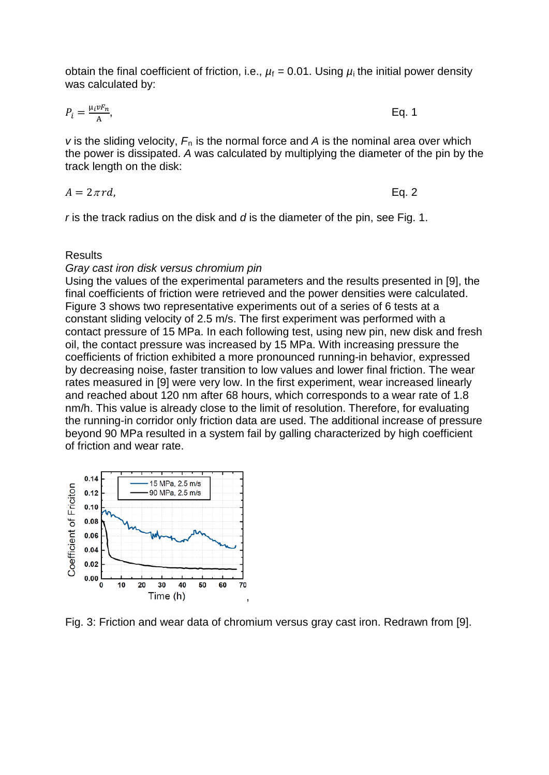obtain the final coefficient of friction, i.e.,  $\mu_f = 0.01$ . Using  $\mu_i$  the initial power density was calculated by:

$$
P_i = \frac{\mu_i v F_n}{A}, \qquad \text{Eq. 1}
$$

*v* is the sliding velocity,  $F_n$  is the normal force and A is the nominal area over which the power is dissipated. *A* was calculated by multiplying the diameter of the pin by the track length on the disk:

$$
A = 2\pi r d, \qquad \qquad \text{Eq. 2}
$$

*r* is the track radius on the disk and *d* is the diameter of the pin, see Fig. 1.

## **Results**

#### *Gray cast iron disk versus chromium pin*

Using the values of the experimental parameters and the results presented in [9], the final coefficients of friction were retrieved and the power densities were calculated. Figure 3 shows two representative experiments out of a series of 6 tests at a constant sliding velocity of 2.5 m/s. The first experiment was performed with a contact pressure of 15 MPa. In each following test, using new pin, new disk and fresh oil, the contact pressure was increased by 15 MPa. With increasing pressure the coefficients of friction exhibited a more pronounced running-in behavior, expressed by decreasing noise, faster transition to low values and lower final friction. The wear rates measured in [9] were very low. In the first experiment, wear increased linearly and reached about 120 nm after 68 hours, which corresponds to a wear rate of 1.8 nm/h. This value is already close to the limit of resolution. Therefore, for evaluating the running-in corridor only friction data are used. The additional increase of pressure beyond 90 MPa resulted in a system fail by galling characterized by high coefficient of friction and wear rate.



Fig. 3: Friction and wear data of chromium versus gray cast iron. Redrawn from [9].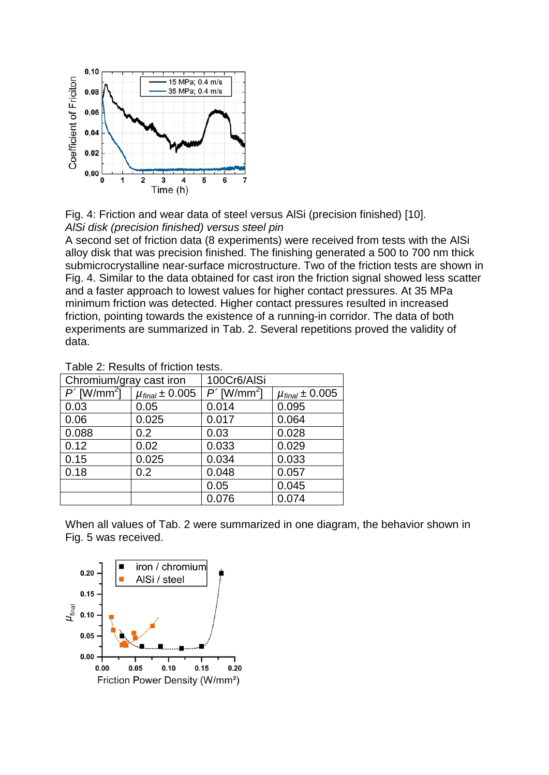

Fig. 4: Friction and wear data of steel versus AlSi (precision finished) [10]. *AlSi disk (precision finished) versus steel pin*

A second set of friction data (8 experiments) were received from tests with the AlSi alloy disk that was precision finished. The finishing generated a 500 to 700 nm thick submicrocrystalline near-surface microstructure. Two of the friction tests are shown in Fig. 4. Similar to the data obtained for cast iron the friction signal showed less scatter and a faster approach to lowest values for higher contact pressures. At 35 MPa minimum friction was detected. Higher contact pressures resulted in increased friction, pointing towards the existence of a running-in corridor. The data of both experiments are summarized in Tab. 2. Several repetitions proved the validity of data.

| Chromium/gray cast iron |                         | 100Cr6/AISi  |                         |
|-------------------------|-------------------------|--------------|-------------------------|
| $P'[W/mm^2]$            | $\mu_{final} \pm 0.005$ | $P'[W/mm^2]$ | $\mu_{final} \pm 0.005$ |
| 0.03                    | 0.05                    | 0.014        | 0.095                   |
| 0.06                    | 0.025                   | 0.017        | 0.064                   |
| 0.088                   | 0.2                     | 0.03         | 0.028                   |
| 0.12                    | 0.02                    | 0.033        | 0.029                   |
| 0.15                    | 0.025                   | 0.034        | 0.033                   |
| 0.18                    | 0.2                     | 0.048        | 0.057                   |
|                         |                         | 0.05         | 0.045                   |
|                         |                         | 0.076        | 0.074                   |

Table 2: Results of friction tests.

When all values of Tab. 2 were summarized in one diagram, the behavior shown in Fig. 5 was received.

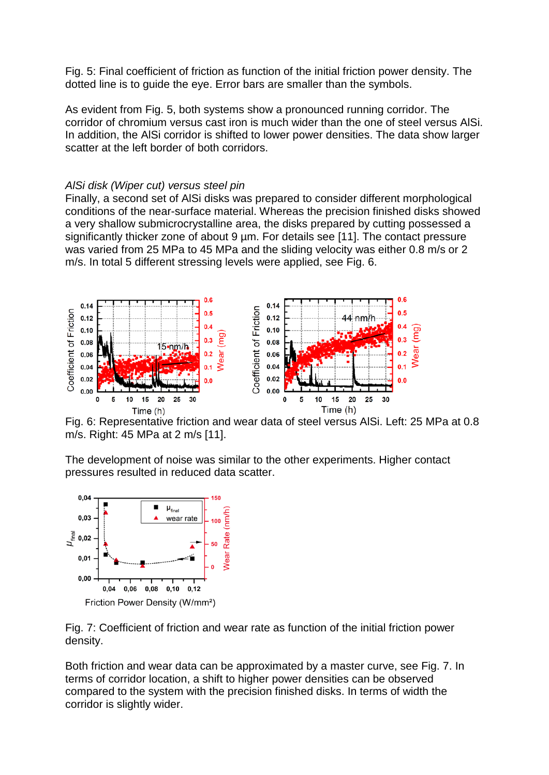Fig. 5: Final coefficient of friction as function of the initial friction power density. The dotted line is to guide the eye. Error bars are smaller than the symbols.

As evident from Fig. 5, both systems show a pronounced running corridor. The corridor of chromium versus cast iron is much wider than the one of steel versus AlSi. In addition, the AlSi corridor is shifted to lower power densities. The data show larger scatter at the left border of both corridors.

# *AlSi disk (Wiper cut) versus steel pin*

Finally, a second set of AlSi disks was prepared to consider different morphological conditions of the near-surface material. Whereas the precision finished disks showed a very shallow submicrocrystalline area, the disks prepared by cutting possessed a significantly thicker zone of about 9 µm. For details see [11]. The contact pressure was varied from 25 MPa to 45 MPa and the sliding velocity was either 0.8 m/s or 2 m/s. In total 5 different stressing levels were applied, see Fig. 6.



Time (h)<br>Fig. 6: Representative friction and wear data of steel versus AlSi. Left: 25 MPa at 0.8 m/s. Right: 45 MPa at 2 m/s [11].

The development of noise was similar to the other experiments. Higher contact pressures resulted in reduced data scatter.



Fig. 7: Coefficient of friction and wear rate as function of the initial friction power density.

Both friction and wear data can be approximated by a master curve, see Fig. 7. In terms of corridor location, a shift to higher power densities can be observed compared to the system with the precision finished disks. In terms of width the corridor is slightly wider.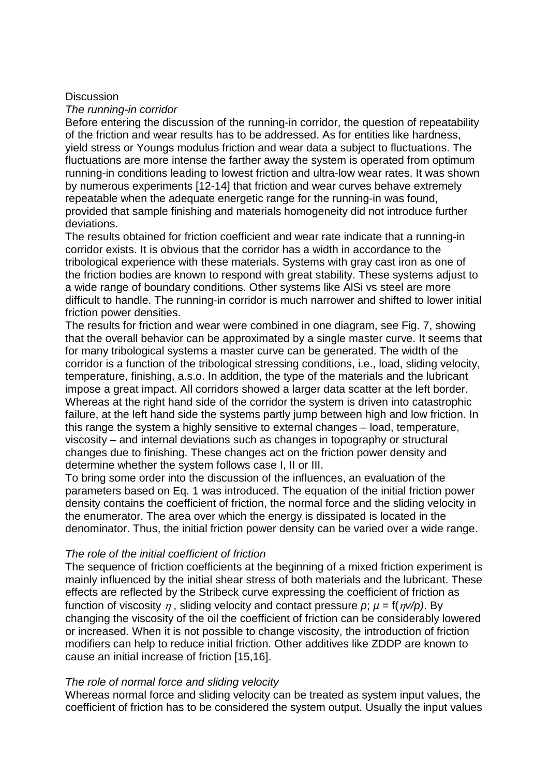## **Discussion**

#### *The running-in corridor*

Before entering the discussion of the running-in corridor, the question of repeatability of the friction and wear results has to be addressed. As for entities like hardness, yield stress or Youngs modulus friction and wear data a subject to fluctuations. The fluctuations are more intense the farther away the system is operated from optimum running-in conditions leading to lowest friction and ultra-low wear rates. It was shown by numerous experiments [12-14] that friction and wear curves behave extremely repeatable when the adequate energetic range for the running-in was found, provided that sample finishing and materials homogeneity did not introduce further deviations.

The results obtained for friction coefficient and wear rate indicate that a running-in corridor exists. It is obvious that the corridor has a width in accordance to the tribological experience with these materials. Systems with gray cast iron as one of the friction bodies are known to respond with great stability. These systems adjust to a wide range of boundary conditions. Other systems like AlSi vs steel are more difficult to handle. The running-in corridor is much narrower and shifted to lower initial friction power densities.

The results for friction and wear were combined in one diagram, see Fig. 7, showing that the overall behavior can be approximated by a single master curve. It seems that for many tribological systems a master curve can be generated. The width of the corridor is a function of the tribological stressing conditions, i.e., load, sliding velocity, temperature, finishing, a.s.o. In addition, the type of the materials and the lubricant impose a great impact. All corridors showed a larger data scatter at the left border. Whereas at the right hand side of the corridor the system is driven into catastrophic failure, at the left hand side the systems partly jump between high and low friction. In this range the system a highly sensitive to external changes – load, temperature, viscosity – and internal deviations such as changes in topography or structural changes due to finishing. These changes act on the friction power density and determine whether the system follows case I, II or III.

To bring some order into the discussion of the influences, an evaluation of the parameters based on Eq. 1 was introduced. The equation of the initial friction power density contains the coefficient of friction, the normal force and the sliding velocity in the enumerator. The area over which the energy is dissipated is located in the denominator. Thus, the initial friction power density can be varied over a wide range.

## *The role of the initial coefficient of friction*

The sequence of friction coefficients at the beginning of a mixed friction experiment is mainly influenced by the initial shear stress of both materials and the lubricant. These effects are reflected by the Stribeck curve expressing the coefficient of friction as function of viscosity  $\eta$ , sliding velocity and contact pressure  $p$ ;  $\mu = f(\eta v/p)$ . By changing the viscosity of the oil the coefficient of friction can be considerably lowered or increased. When it is not possible to change viscosity, the introduction of friction modifiers can help to reduce initial friction. Other additives like ZDDP are known to cause an initial increase of friction [15,16].

## *The role of normal force and sliding velocity*

Whereas normal force and sliding velocity can be treated as system input values, the coefficient of friction has to be considered the system output. Usually the input values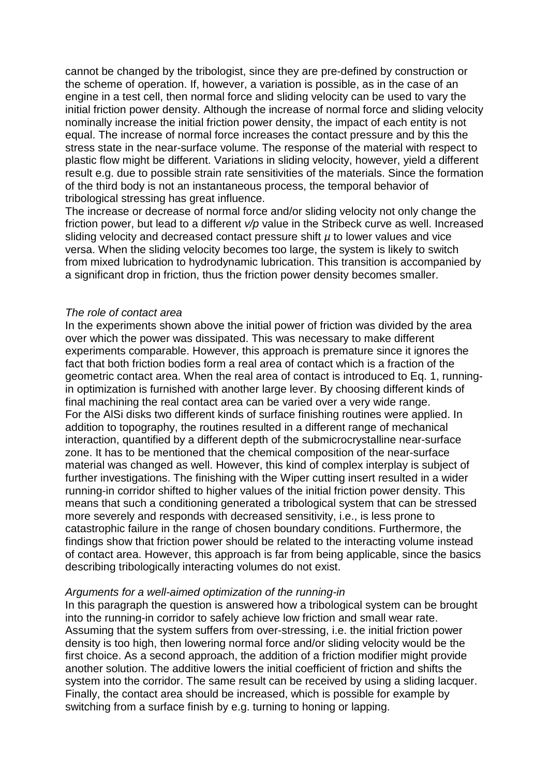cannot be changed by the tribologist, since they are pre-defined by construction or the scheme of operation. If, however, a variation is possible, as in the case of an engine in a test cell, then normal force and sliding velocity can be used to vary the initial friction power density. Although the increase of normal force and sliding velocity nominally increase the initial friction power density, the impact of each entity is not equal. The increase of normal force increases the contact pressure and by this the stress state in the near-surface volume. The response of the material with respect to plastic flow might be different. Variations in sliding velocity, however, yield a different result e.g. due to possible strain rate sensitivities of the materials. Since the formation of the third body is not an instantaneous process, the temporal behavior of tribological stressing has great influence.

The increase or decrease of normal force and/or sliding velocity not only change the friction power, but lead to a different *v/p* value in the Stribeck curve as well. Increased sliding velocity and decreased contact pressure shift *µ* to lower values and vice versa. When the sliding velocity becomes too large, the system is likely to switch from mixed lubrication to hydrodynamic lubrication. This transition is accompanied by a significant drop in friction, thus the friction power density becomes smaller.

## *The role of contact area*

In the experiments shown above the initial power of friction was divided by the area over which the power was dissipated. This was necessary to make different experiments comparable. However, this approach is premature since it ignores the fact that both friction bodies form a real area of contact which is a fraction of the geometric contact area. When the real area of contact is introduced to Eq. 1, runningin optimization is furnished with another large lever. By choosing different kinds of final machining the real contact area can be varied over a very wide range. For the AlSi disks two different kinds of surface finishing routines were applied. In addition to topography, the routines resulted in a different range of mechanical interaction, quantified by a different depth of the submicrocrystalline near-surface zone. It has to be mentioned that the chemical composition of the near-surface material was changed as well. However, this kind of complex interplay is subject of further investigations. The finishing with the Wiper cutting insert resulted in a wider running-in corridor shifted to higher values of the initial friction power density. This means that such a conditioning generated a tribological system that can be stressed more severely and responds with decreased sensitivity, i.e., is less prone to catastrophic failure in the range of chosen boundary conditions. Furthermore, the findings show that friction power should be related to the interacting volume instead of contact area. However, this approach is far from being applicable, since the basics describing tribologically interacting volumes do not exist.

## *Arguments for a well-aimed optimization of the running-in*

In this paragraph the question is answered how a tribological system can be brought into the running-in corridor to safely achieve low friction and small wear rate. Assuming that the system suffers from over-stressing, i.e. the initial friction power density is too high, then lowering normal force and/or sliding velocity would be the first choice. As a second approach, the addition of a friction modifier might provide another solution. The additive lowers the initial coefficient of friction and shifts the system into the corridor. The same result can be received by using a sliding lacquer. Finally, the contact area should be increased, which is possible for example by switching from a surface finish by e.g. turning to honing or lapping.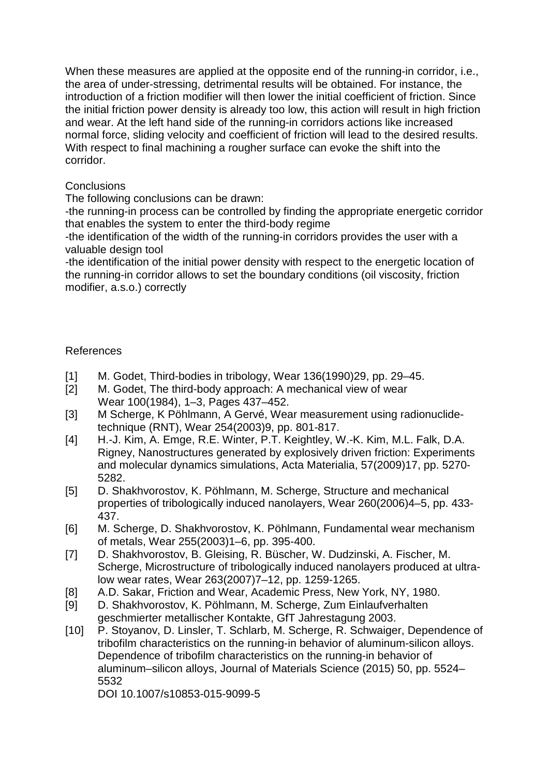When these measures are applied at the opposite end of the running-in corridor, i.e., the area of under-stressing, detrimental results will be obtained. For instance, the introduction of a friction modifier will then lower the initial coefficient of friction. Since the initial friction power density is already too low, this action will result in high friction and wear. At the left hand side of the running-in corridors actions like increased normal force, sliding velocity and coefficient of friction will lead to the desired results. With respect to final machining a rougher surface can evoke the shift into the corridor.

# **Conclusions**

The following conclusions can be drawn:

-the running-in process can be controlled by finding the appropriate energetic corridor that enables the system to enter the third-body regime

-the identification of the width of the running-in corridors provides the user with a valuable design tool

-the identification of the initial power density with respect to the energetic location of the running-in corridor allows to set the boundary conditions (oil viscosity, friction modifier, a.s.o.) correctly

# References

- [1] M. Godet, Third-bodies in tribology, Wear 136(1990)29, pp. 29–45.
- [2] M. Godet, The third-body approach: A mechanical view of wear Wear 100(1984), 1–3, Pages 437–452.
- [3] M Scherge, K Pöhlmann, A Gervé, Wear measurement using radionuclidetechnique (RNT), Wear 254(2003)9, pp. 801-817.
- [4] H.-J. Kim, A. Emge, R.E. Winter, P.T. Keightley, W.-K. Kim, M.L. Falk, D.A. Rigney, Nanostructures generated by explosively driven friction: Experiments and molecular dynamics simulations, Acta Materialia, 57(2009)17, pp. 5270- 5282.
- [5] D. Shakhvorostov, K. Pöhlmann, M. Scherge, Structure and mechanical properties of tribologically induced nanolayers, Wear 260(2006)4–5, pp. 433- 437.
- [6] M. Scherge, D. Shakhvorostov, K. Pöhlmann, Fundamental wear mechanism of metals, Wear 255(2003)1–6, pp. 395-400.
- [7] D. Shakhvorostov, B. Gleising, R. Büscher, W. Dudzinski, A. Fischer, M. Scherge, Microstructure of tribologically induced nanolayers produced at ultralow wear rates, Wear 263(2007)7–12, pp. 1259-1265.
- [8] A.D. Sakar, Friction and Wear, Academic Press, New York, NY, 1980.
- [9] D. Shakhvorostov, K. Pöhlmann, M. Scherge, Zum Einlaufverhalten geschmierter metallischer Kontakte, GfT Jahrestagung 2003.
- [10] P. Stoyanov, D. Linsler, T. Schlarb, M. Scherge, R. Schwaiger, Dependence of tribofilm characteristics on the running-in behavior of aluminum-silicon alloys. Dependence of tribofilm characteristics on the running-in behavior of aluminum–silicon alloys, Journal of Materials Science (2015) 50, pp. 5524– 5532

DOI 10.1007/s10853-015-9099-5